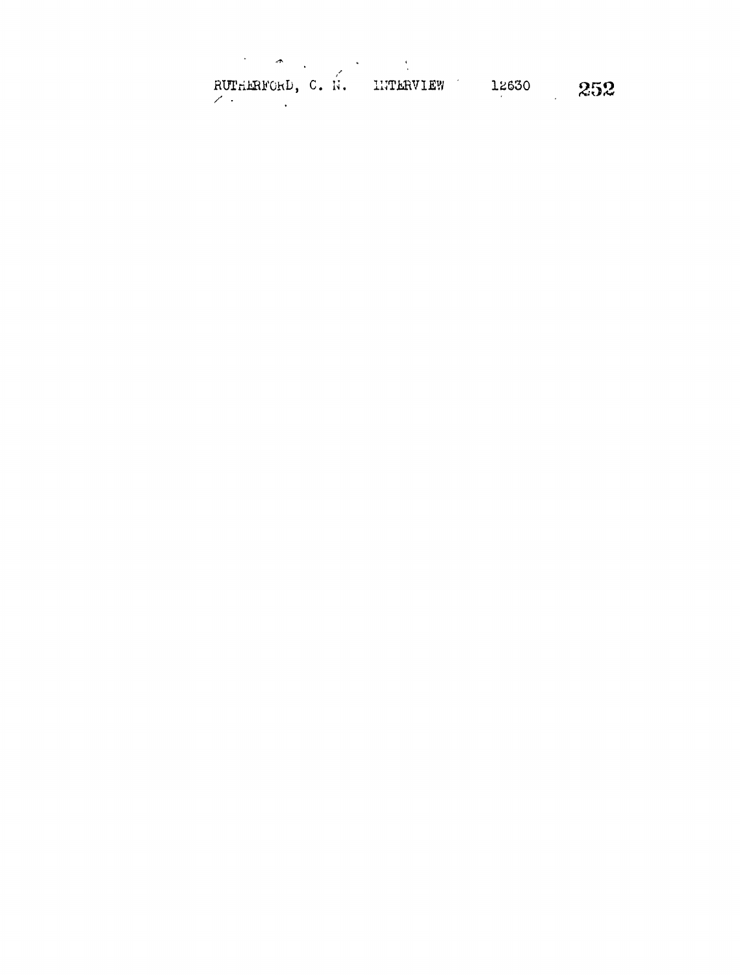RUTHERFORD, C. N. INTERVIEW 12630 252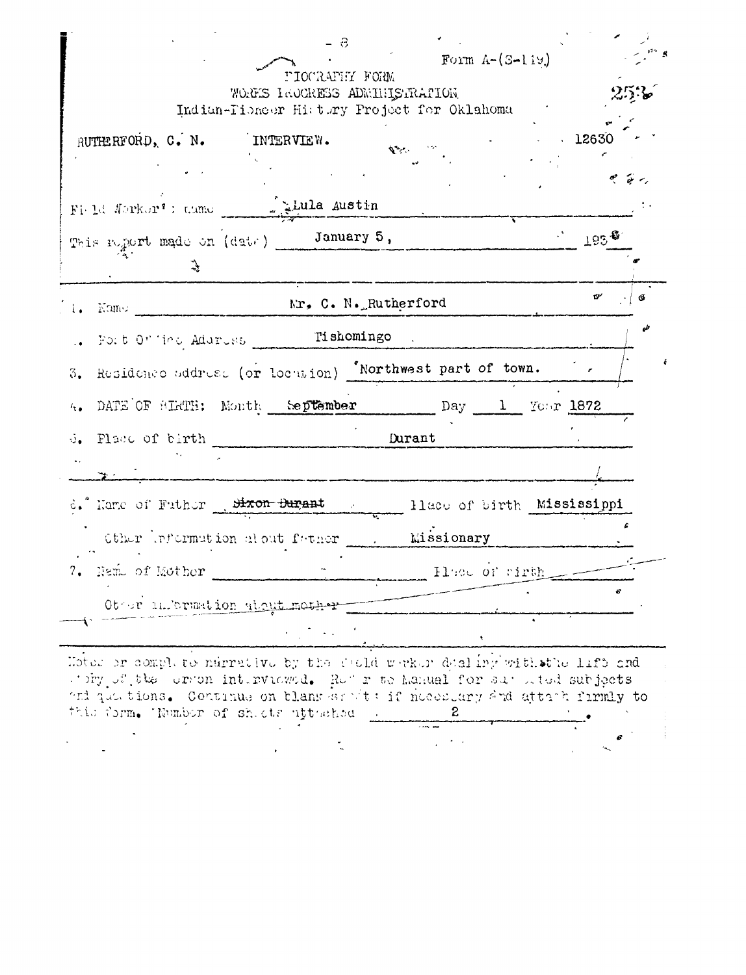|                                                                                                                                                                                                                                                                          | - 8                                              |                                                                 |                       |
|--------------------------------------------------------------------------------------------------------------------------------------------------------------------------------------------------------------------------------------------------------------------------|--------------------------------------------------|-----------------------------------------------------------------|-----------------------|
|                                                                                                                                                                                                                                                                          | PIOCRAFHY FORM<br>WORDES IROCHESS ADMINISTRATION | Form $A-(S-119)$<br>Indian-Tioneer History Project for Oklahoma |                       |
| RUTHERFORD, C. N. INTERVIEW.                                                                                                                                                                                                                                             |                                                  | $\mathbf{v}$                                                    | .12630                |
|                                                                                                                                                                                                                                                                          |                                                  |                                                                 | $\sigma$ $\sigma$     |
| Fight Morker': tame                                                                                                                                                                                                                                                      |                                                  |                                                                 | $\sim$ 193 $^{\circ}$ |
| This negation (date) January 5,<br>$\frac{1}{2}$                                                                                                                                                                                                                         |                                                  |                                                                 |                       |
| 1. Kame Mr. C. N. Rutherford                                                                                                                                                                                                                                             |                                                  |                                                                 | б                     |
| Fort Of inc Address ______ Tishomingo                                                                                                                                                                                                                                    |                                                  |                                                                 |                       |
| Residence address (or locution) 'Northwest part of town.<br>3.                                                                                                                                                                                                           |                                                  |                                                                 |                       |
| DATE OF BIRTH: Month September Day 1 Your 1872                                                                                                                                                                                                                           |                                                  |                                                                 |                       |
| Place of birth Durant                                                                                                                                                                                                                                                    |                                                  |                                                                 |                       |
|                                                                                                                                                                                                                                                                          |                                                  |                                                                 |                       |
| d. Manc of Futher Sixon Burgant                                                                                                                                                                                                                                          |                                                  | Hlace of birth Mississippi                                      |                       |
| Other Information alout father 1.                                                                                                                                                                                                                                        |                                                  | <b>Missionary</b>                                               |                       |
| Name of Mother                                                                                                                                                                                                                                                           |                                                  | Histor of right                                                 |                       |
| Other information about mother                                                                                                                                                                                                                                           |                                                  |                                                                 |                       |
|                                                                                                                                                                                                                                                                          | $\sim$ $\sim$                                    |                                                                 |                       |
| Hoter or complete ndrrative by the sucld worker dealing with the life and<br>story of the corron interviewed. Refor to Manual for surveted subjects<br>and qualitions. Continue on blank samits if necessary and attack firmly to<br>this form. Number of shade uttashed |                                                  | z                                                               |                       |
|                                                                                                                                                                                                                                                                          |                                                  |                                                                 |                       |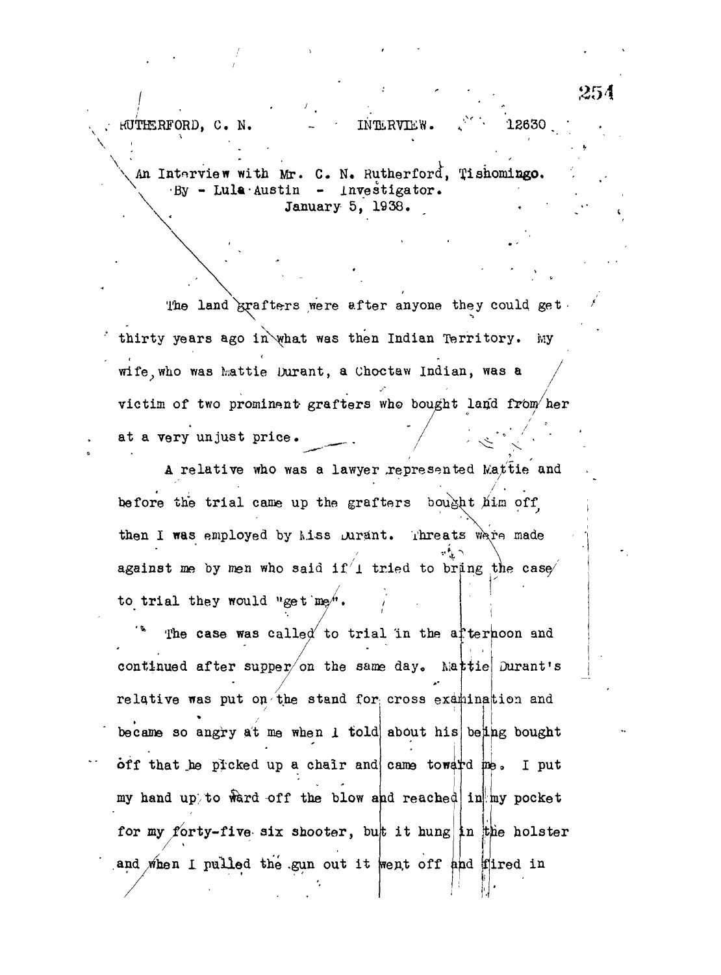An Interview with Mr. C. N. Rutherford, Tishomingo.  $-By$  - Lula Austin - Investigator. January 5, 1938.

 $\texttt{HUTHERFORD}$ . C. N.  $\texttt{INTERVIEW}$ .  $\texttt{INTERVIEW}$ . 12630

The land  $k$ rafters were after anyone they could get. thirty years ago in what was then Indian Territory. My wife, who was Mattie Durant, a Choctaw Indian, was a victim of two prominent grafters who bought land from her at a very unjust price.

A relative who was a lawyer represented Mattie and before the trial came up the grafters bought  $\hat{\mu}$ im off then I was employed by Miss Durant. Threats ware made against me by men who said if  $1$  tried to bring the case to trial they would "get"

continued after supper/on the same day. Mattie Durant's The case was called to trial in the afternoon and relative was put on the stand for cross examination and became so angry at me when 1 told about his being bought off that he picked up a chair and came toward me. I put my hand up to ward off the blow and reached in my pocket for my forty-five six shooter, but it hung in the holster I pulled the gun out it went off and fired in

! •(

,254